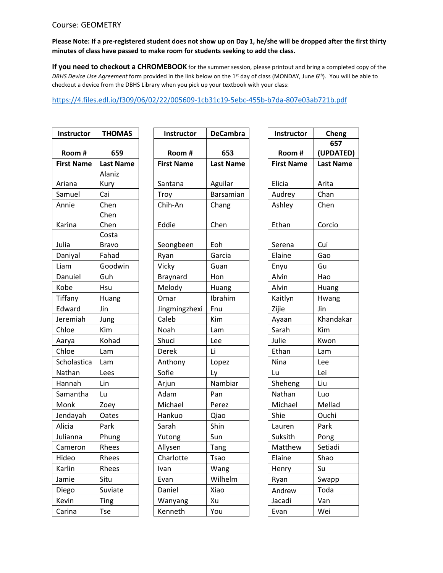## Course: GEOMETRY

## **Please Note: If a pre-registered student does not show up on Day 1, he/she will be dropped after the first thirty minutes of class have passed to make room for students seeking to add the class.**

**If you need to checkout a CHROMEBOOK** for the summer session, please printout and bring a completed copy of the *DBHS Device Use Agreement* form provided in the link below on the 1st day of class (MONDAY, June 6th). You will be able to checkout a device from the DBHS Library when you pick up your textbook with your class:

## <https://4.files.edl.io/f309/06/02/22/005609-1cb31c19-5ebc-455b-b7da-807e03ab721b.pdf>

| <b>Instructor</b> | <b>THOMAS</b>    |  |
|-------------------|------------------|--|
| Room#             | 659              |  |
| <b>First Name</b> | <b>Last Name</b> |  |
|                   | Alaniz           |  |
| Ariana            | Kury             |  |
| Samuel            | Cai              |  |
| Annie             | Chen             |  |
|                   | Chen             |  |
| Karina            | Chen             |  |
|                   | Costa            |  |
| Julia             | Bravo            |  |
| Daniyal           | Fahad            |  |
| Liam              | Goodwin          |  |
| Danuiel           | Guh              |  |
| Kobe              | Hsu              |  |
| Tiffany           | Huang            |  |
| Edward            | Jin              |  |
| Jeremiah          | Jung             |  |
| Chloe             | Kim              |  |
| Aarya             | Kohad            |  |
| Chloe             | Lam              |  |
| Scholastica       | Lam              |  |
| Nathan            | Lees             |  |
| Hannah            | Lin              |  |
| Samantha          | Lu               |  |
| Monk              | Zoey             |  |
| Jendayah          | Oates            |  |
| Alicia            | Park             |  |
| Julianna          | Phung            |  |
| Cameron           | Rhees            |  |
| Hideo             | Rhees            |  |
| Karlin            | Rhees            |  |
| Jamie             | Situ             |  |
| Diego             | Suviate          |  |
| Kevin             | Ting             |  |
| Carina            | Tse              |  |

| <b>Instructor</b> | <b>THOMAS</b>         | Instructor        | <b>DeCambra</b>  | <b>Instructor</b> | Cheng            |
|-------------------|-----------------------|-------------------|------------------|-------------------|------------------|
|                   |                       |                   |                  |                   | 657              |
| Room#             | 659                   | Room #            | 653              | Room #            | (UPDATED         |
| <b>First Name</b> | <b>Last Name</b>      | <b>First Name</b> | <b>Last Name</b> | <b>First Name</b> | <b>Last Name</b> |
|                   | Alaniz                |                   |                  |                   |                  |
| Ariana            | Kury                  | Santana           | Aguilar          | Elicia            | Arita            |
| Samuel            | Cai                   | Troy              | Barsamian        | Audrey            | Chan             |
| Annie             | Chen                  | Chih-An           | Chang            | Ashley            | Chen             |
| Karina            | Chen<br>Chen          | Eddie             | Chen             | Ethan             | Corcio           |
| Julia             | Costa<br><b>Bravo</b> | Seongbeen         | Eoh              | Serena            | Cui              |
| Daniyal           | Fahad                 | Ryan              | Garcia           | Elaine            | Gao              |
| Liam              | Goodwin               | Vicky             | Guan             | Enyu              | Gu               |
| Danuiel           | Guh                   | Braynard          | Hon              | Alvin             | Hao              |
| Kobe              | Hsu                   | Melody            | Huang            | Alvin             | Huang            |
| Tiffany           | Huang                 | Omar              | Ibrahim          | Kaitlyn           | Hwang            |
| Edward            | Jin                   | Jingmingzhexi     | Fnu              | Zijie             | Jin              |
| Jeremiah          | Jung                  | Caleb             | Kim              | Ayaan             | Khandakar        |
| Chloe             | Kim                   | Noah              | Lam              | Sarah             | Kim              |
| Aarya             | Kohad                 | Shuci             | Lee              | Julie             | Kwon             |
| Chloe             | Lam                   | <b>Derek</b>      | Li               | Ethan             | Lam              |
| Scholastica       | Lam                   | Anthony           | Lopez            | Nina              | Lee              |
| Nathan            | Lees                  | Sofie             | Ly               | Lu                | Lei              |
| Hannah            | Lin                   | Arjun             | Nambiar          | Sheheng           | Liu              |
| Samantha          | Lu                    | Adam              | Pan              | Nathan            | Luo              |
| Monk              | Zoey                  | Michael           | Perez            | Michael           | Mellad           |
| Jendayah          | Oates                 | Hankuo            | Qiao             | Shie              | Ouchi            |
| Alicia            | Park                  | Sarah             | Shin             | Lauren            | Park             |
| Julianna          | Phung                 | Yutong            | Sun              | Suksith           | Pong             |
| Cameron           | Rhees                 | Allysen           | Tang             | Matthew           | Setiadi          |
| Hideo             | Rhees                 | Charlotte         | <b>Tsao</b>      | Elaine            | Shao             |
| Karlin            | Rhees                 | Ivan              | Wang             | Henry             | Su               |
| Jamie             | Situ                  | Evan              | Wilhelm          | Ryan              | Swapp            |
| Diego             | Suviate               | Daniel            | Xiao             | Andrew            | Toda             |
| Kevin             | Ting                  | Wanyang           | Xu               | Jacadi            | Van              |
| Carina            | Tse                   | Kenneth           | You              | Evan              | Wei              |

| <b>Instructor</b> | Cheng            |  |  |  |  |
|-------------------|------------------|--|--|--|--|
|                   | 657              |  |  |  |  |
| Room #            | (UPDATED)        |  |  |  |  |
| <b>First Name</b> | <b>Last Name</b> |  |  |  |  |
|                   |                  |  |  |  |  |
| Elicia            | Arita            |  |  |  |  |
| Audrey            | Chan             |  |  |  |  |
| Ashley            | Chen             |  |  |  |  |
| Ethan             | Corcio           |  |  |  |  |
| Serena            | Cui              |  |  |  |  |
| Elaine            | Gao              |  |  |  |  |
| Enyu              | Gu               |  |  |  |  |
| Alvin             | Hao              |  |  |  |  |
| Alvin             | Huang            |  |  |  |  |
| Kaitlyn           | Hwang            |  |  |  |  |
| Zijie             | Jin              |  |  |  |  |
| Ayaan             | Khandakar        |  |  |  |  |
| Sarah             | Kim              |  |  |  |  |
| Julie             | Kwon             |  |  |  |  |
| Ethan             | Lam              |  |  |  |  |
| Nina              | Lee              |  |  |  |  |
| Lu                | Lei              |  |  |  |  |
| Sheheng           | Liu              |  |  |  |  |
| Nathan            | Luo              |  |  |  |  |
| Michael           | Mellad           |  |  |  |  |
| Shie              | Ouchi            |  |  |  |  |
| Lauren            | Park             |  |  |  |  |
| Suksith           | Pong             |  |  |  |  |
| Matthew           | Setiadi          |  |  |  |  |
| Elaine            | Shao             |  |  |  |  |
| Henry             | Su               |  |  |  |  |
| Ryan              | Swapp            |  |  |  |  |
| Andrew            | Toda             |  |  |  |  |
| Jacadi            | Van              |  |  |  |  |
| Evan              | Wei              |  |  |  |  |